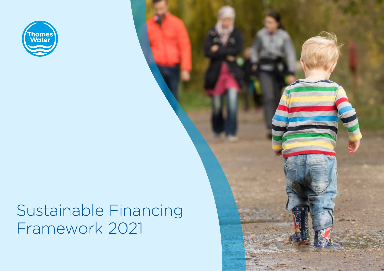

# Sustainable Financing Framework 2021 Sustainable Financing Framework 2021

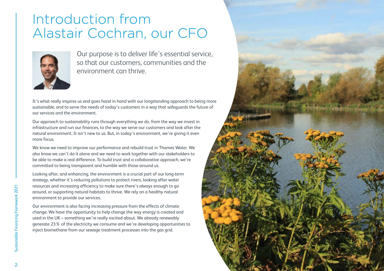# Introduction from Alastair Cochran, our CFO



Our purpose is to deliver life's essential service, so that our customers, communities and the environment can thrive.

It's what really inspires us and goes hand in hand with our longstanding approach to being more sustainable, and to serve the needs of today's customers in a way that safeguards the future of our services and the environment.

Our approach to sustainability runs through everything we do, from the way we invest in infrastructure and run our finances, to the way we serve our customers and look after the natural environment. It isn't new to us. But, in today's environment, we're giving it even more focus.

We know we need to improve our performance and rebuild trust in Thames Water. We also know we can't do it alone and we need to work together with our stakeholders to be able to make a real difference. To build trust and a collaborative approach, we're committed to being transparent and humble with those around us.

Looking after, and enhancing, the environment is a crucial part of our long-term strategy, whether it's reducing pollutions to protect rivers, looking after water resources and increasing efficiency to make sure there's always enough to go around, or supporting natural habitats to thrive. We rely on a healthy natural environment to provide our services.

Our environment is also facing increasing pressure from the effects of climate change. We have the opportunity to help change the way energy is created and used in the UK – something we're really excited about. We already renewably generate 23% of the electricity we consume and we're developing opportunities to inject biomethane from our sewage treatment processes into the gas grid.

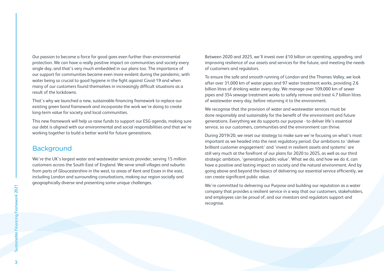Our passion to become a force for good goes even further than environmental protection. We can have a really positive impact on communities and society every single day, and that's very much embedded in our plans too. The importance of our support for communities became even more evident during the pandemic, with water being so crucial to good hygiene in the fight against Covid-19 and when many of our customers found themselves in increasingly difficult situations as a result of the lockdowns.

That's why we launched a new, sustainable financing framework to replace our existing green bond framework and incorporate the work we're doing to create long-term value for society and local communities.

This new framework will help us raise funds to support our ESG agenda, making sure our debt is aligned with our environmental and social responsibilities and that we're working together to build a better world for future generations.

# **Background**

We're the UK's largest water and wastewater services provider, serving 15 million customers across the South East of England. We serve small villages and suburbs from parts of Gloucestershire in the west, to areas of Kent and Essex in the east, including London and surrounding conurbations, making our region socially and geographically diverse and presenting some unique challenges.

Between 2020 and 2025, we'll invest over £10 billion on operating, upgrading, and improving resilience of our assets and services for the future, and meeting the needs of customers and regulators.

To ensure the safe and smooth running of London and the Thames Valley, we look after over 31,000 km of water pipes and 97 water treatment works, providing 2.6 billion litres of drinking water every day. We manage over 109,000 km of sewer pipes and 354 sewage treatment works to safely remove and treat 4.7 billion litres of wastewater every day, before returning it to the environment.

We recognise that the provision of water and wastewater services must be done responsibly and sustainably for the benefit of the environment and future generations. Everything we do supports our purpose - to deliver life's essential service, so our customers, communities and the environment can thrive.

During 2019/20, we reset our strategy to make sure we're focusing on what's most important as we headed into the next regulatory period. Our ambitions to 'deliver brilliant customer engagement' and 'invest in resilient assets and systems' are still very much at the forefront of our plans for 2020 to 2025, as well as our third strategic ambition, 'generating public value'. What we do, and how we do it, can have a positive and lasting impact on society and the natural environment. And by going above and beyond the basics of delivering our essential service efficiently, we can create significant public value.

We're committed to delivering our Purpose and building our reputation as a water company that provides a resilient service in a way that our customers, stakeholders, and employees can be proud of, and our investors and regulators support and recognise.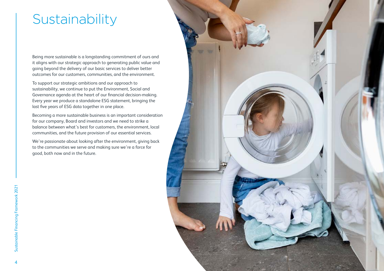# **Sustainability**

Being more sustainable is a longstanding commitment of ours and it aligns with our strategic approach to generating public value and going beyond the delivery of our basic services to deliver better outcomes for our customers, communities, and the environment.

To support our strategic ambitions and our approach to sustainability, we continue to put the Environment, Social and Governance agenda at the heart of our financial decision-making. Every year we produce a standalone ESG statement, bringing the last five years of ESG data together in one place.

Becoming a more sustainable business is an important consideration for our company, Board and investors and we need to strike a balance between what's best for customers, the environment, local communities, and the future provision of our essential services.

We're passionate about looking after the environment, giving back to the communities we serve and making sure we're a force for good, both now and in the future.

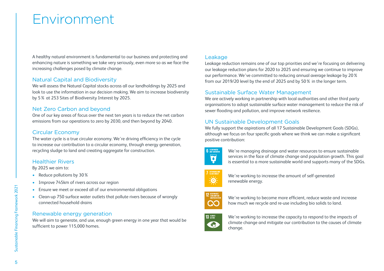# Environment

A healthy natural environment is fundamental to our business and protecting and enhancing nature is something we take very seriously, even more so as we face the increasing challenges posed by climate change.

# Natural Capital and Biodiversity

We will assess the Natural Capital stocks across all our landholdings by 2025 and look to use the information in our decision making. We aim to increase biodiversity by 5% at 253 Sites of Biodiversity Interest by 2025.

### Net Zero Carbon and beyond

One of our key areas of focus over the next ten years is to reduce the net carbon emissions from our operations to zero by 2030, and then beyond by 2040.

## Circular Economy

The water cycle is a true circular economy. We're driving efficiency in the cycle to increase our contribution to a circular economy, through energy generation, recycling sludge to land and creating aggregate for construction.

### Healthier Rivers

By 2025 we aim to:

- Reduce pollutions by 30%
- Improve 745km of rivers across our region
- Ensure we meet or exceed all of our environmental obligations
- Clean-up 750 surface water outlets that pollute rivers because of wrongly connected household drains

### Renewable energy generation

We will aim to generate, and use, enough green energy in one year that would be sufficient to power 115,000 homes.

### Leakage

Leakage reduction remains one of our top priorities and we're focusing on delivering our leakage reduction plans for 2020 to 2025 and ensuring we continue to improve our performance. We've committed to reducing annual average leakage by 20% from our 2019/20 level by the end of 2025 and by 50% in the longer term.

### Sustainable Surface Water Management

We are actively working in partnership with local authorities and other third party organisations to adopt sustainable surface water management to reduce the risk of sewer flooding and pollution, and improve network resilience.

# UN Sustainable Development Goals

We fully support the aspirations of all 17 Sustainable Development Goals (SDGs), although we focus on four specific goals where we think we can make a significant positive contribution:



We're managing drainage and water resources to ensure sustainable services in the face of climate change and population growth. This goal is essential to a more sustainable world and supports many of the SDGs.



We're working to increase the amount of self-generated renewable energy.



We're working to become more efficient, reduce waste and increase how much we recycle and re-use including bio solids to land.



We're working to increase the capacity to respond to the impacts of climate change and mitigate our contribution to the causes of climate change.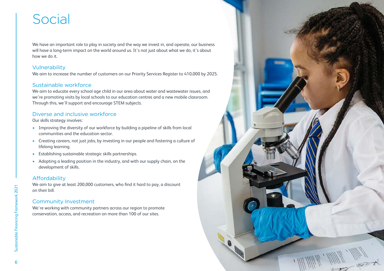# Social

We have an important role to play in society and the way we invest in, and operate, our business will have a long-term impact on the world around us. It's not just about what we do, it's about how we do it.

# Vulnerability

We aim to increase the number of customers on our Priority Services Register to 410,000 by 2025.

# Sustainable workforce

We aim to educate every school age child in our area about water and wastewater issues, and we're promoting visits by local schools to our education centres and a new mobile classroom. Through this, we'll support and encourage STEM subjects.

# Diverse and inclusive workforce

Our skills strategy involves:

- Improving the diversity of our workforce by building a pipeline of skills from local communities and the education sector.
- Creating careers, not just jobs, by investing in our people and fostering a culture of lifelong learning.
- Establishing sustainable strategic skills partnerships.
- Adopting a leading position in the industry, and with our supply chain, on the development of skills.

# Affordability

We aim to give at least 200,000 customers, who find it hard to pay, a discount on their bill.

# Community Investment

We're working with community partners across our region to promote conservation, access, and recreation on more than 100 of our sites.

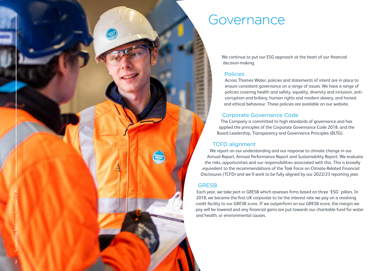

# Governance

We continue to put our ESG approach at the heart of our financial decision-making.

### Policies

Across Thames Water, policies and statements of intent are in place to ensure consistent governance on a range of issues. We have a range of policies covering health and safety, equality, diversity and inclusion, anticorruption and bribery, human rights and modern slavery, and honest and ethical behaviour. These policies are available on our website.

# Corporate Governance Code

The Company is committed to high standards of governance and has applied the principles of the Corporate Governance Code 2018, and the Board Leadership, Transparency and Governance Principles (BLTG).

# TCFD alignment

We report on our understanding and our response to climate change in our Annual Report, Annual Performance Report and Sustainability Report. We evaluate the risks, opportunities and our responsibilities associated with this. This is broadly equivalent to the recommendations of the Task Force on Climate-Related Financial Disclosures (TCFD) and we'll work to be fully aligned by our 2022/23 reporting year.

# **GRESB**

Each year, we take part in GRESB which assesses firms based on three 'ESG' pillars. In 2018, we became the first UK corporate to tie the interest rate we pay on a revolving credit facility to our GRESB score. If we outperform on our GRESB score, the margin we pay will be lowered and any financial gains are put towards our charitable fund for water and health, or environmental causes.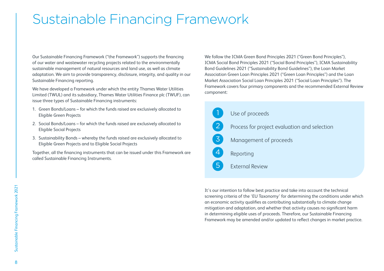# Sustainable Financing Framework

Our Sustainable Financing Framework ("the Framework") supports the financing of our water and wastewater recycling projects related to the environmentally sustainable management of natural resources and land use, as well as climate adaptation. We aim to provide transparency, disclosure, integrity, and quality in our Sustainable Financing reporting.

We have developed a Framework under which the entity Thames Water Utilities Limited (TWUL) and its subsidiary, Thames Water Utilities Finance plc (TWUF), can issue three types of Sustainable Financing instruments:

- 1. Green Bonds/Loans for which the funds raised are exclusively allocated to Eligible Green Projects
- 2. Social Bonds/Loans for which the funds raised are exclusively allocated to Eligible Social Projects
- 3. Sustainability Bonds whereby the funds raised are exclusively allocated to Eligible Green Projects and to Eligible Social Projects

Together, all the financing instruments that can be issued under this Framework are called Sustainable Financing Instruments.

We follow the ICMA Green Bond Principles 2021 ("Green Bond Principles"), ICMA Social Bond Principles 2021 ("Social Bond Principles"), ICMA Sustainability Bond Guidelines 2021 ("Sustainability Bond Guidelines"), the Loan Market Association Green Loan Principles 2021 ("Green Loan Principles") and the Loan Market Association Social Loan Principles 2021 ("Social Loan Principles"). The Framework covers four primary components and the recommended External Review component:

| (1)            | Use of proceeds                              |
|----------------|----------------------------------------------|
| $\mathbf{2}$   | Process for project evaluation and selection |
| 3 <sup>1</sup> | Management of proceeds                       |
|                | Reporting                                    |
|                | <b>External Review</b>                       |

It's our intention to follow best practice and take into account the technical screening criteria of the 'EU Taxonomy' for determining the conditions under which an economic activity qualifies as contributing substantially to climate change mitigation and adaptation, and whether that activity causes no significant harm in determining eligible uses of proceeds. Therefore, our Sustainable Financing Framework may be amended and/or updated to reflect changes in market practice.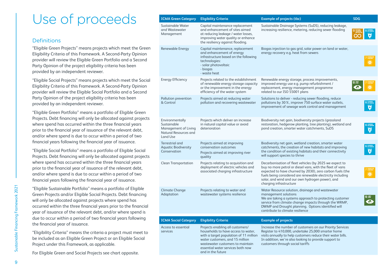# Use of proceeds

### Definitions

"Eligible Green Projects" means projects which meet the Green Eligibility Criteria of this Framework. A Second-Party Opinion provider will review the Eligible Green Portfolio and a Second Party Opinion of the project eligibility criteria has been provided by an independent reviewer.

"Eligible Social Projects" means projects which meet the Social Eligibility Criteria of this Framework. A Second-Party Opinion provider will review the Eligible Social Portfolio and a Second Party Opinion of the project eligibility criteria has been provided by an independent reviewer.

"Eligible Green Portfolio" means a portfolio of Eligible Green Projects. Debt financing will only be allocated against projects where spend has occurred within the three financial years prior to the financial year of issuance of the relevant debt, and/or where spend is due to occur within a period of two financial years following the financial year of issuance.

"Eligible Social Portfolio" means a portfolio of Eligible Social Projects. Debt financing will only be allocated against projects where spend has occurred within the three financial years prior to the financial year of issuance of the relevant debt, and/or where spend is due to occur within a period of two financial years following the financial year of issuance.

"Eligible Sustainable Portfolio" means a portfolio of Eligible Green Projects and/or Eligible Social Projects. Debt financing will only be allocated against projects where spend has occurred within the three financial years prior to the financial year of issuance of the relevant debt, and/or where spend is due to occur within a period of two financial years following the financial year of issuance.

"Eligibility Criteria" means the criteria a project must meet to be included as an Eligible Green Project or an Eligible Social Project under this Framework, as applicable.

For Eligible Green and Social Projects see chart opposite.

| <b>ICMA Green Category</b>                                                                  | <b>Eligibility Criteria</b>                                                                                                                                                              | <b>Example of projects (tbc)</b>                                                                                                                                                                                                                                                                                               | <b>SDG</b> |
|---------------------------------------------------------------------------------------------|------------------------------------------------------------------------------------------------------------------------------------------------------------------------------------------|--------------------------------------------------------------------------------------------------------------------------------------------------------------------------------------------------------------------------------------------------------------------------------------------------------------------------------|------------|
| Sustainable Water<br>and Wastewater<br>Management                                           | Capital maintenance replacement<br>and enhancement of sites aimed<br>at reducing leakage / water losses,<br>improving water quality or enhance<br>the resiliency against flooding.       | Sustainable Drainage Systems (SuDS), reducing leakage,<br>increasing resilience, metering, reducing sewer flooding                                                                                                                                                                                                             |            |
| Renewable Energy                                                                            | Capital maintenance, replacement<br>and enhancement of energy<br>infrastructure based on the following<br>technologies:<br>- solar photovoltaic<br>- biogas<br>- waste heat              | Biogas injection to gas grid, solar power on land or water,<br>energy recovery e.g. heat from sewers                                                                                                                                                                                                                           |            |
| <b>Energy Efficiency</b>                                                                    | Projects related to the establishment<br>of renewable energy storage capacity<br>or the improvement in the energy<br>efficiency of the water system                                      | Renewable energy storage, process improvements,<br>improved energy use e.g. pump refurbishment /<br>replacement, energy management programme<br>related to our ISO 55001 plans                                                                                                                                                 |            |
| Pollution prevention<br>& Control                                                           | Projects aimed at reducing water<br>pollution and recovering wastewater                                                                                                                  | Solutions to deliver - reducing sewer flooding, reduce<br>pollutions by 30%, improve 750 surface water outlets,<br>improvement of sewage work control and management                                                                                                                                                           |            |
| Environmentally<br>Sustainable<br>Management of Living<br>Natural Resources and<br>Land Use | Projects which deliver an increase<br>in natural capital value or avoid<br>deterioration                                                                                                 | Biodiversity net gain, biodiversity projects (grassland<br>restoration, hedgerow planting, tree planting), wetland and<br>pond creation, smarter water catchments, SuDS                                                                                                                                                        |            |
| Terrestrial and<br><b>Aquatic Biodiversity</b><br>Conservation                              | Projects aimed at improving<br>conservation outcomes<br>Projects aimed at improving river<br>quality                                                                                     | Biodiversity net gain, wetland creation, smarter water<br>catchments, the creation of new habitats and improving<br>the condition of existing habitats and their connectivity<br>will support species to thrive                                                                                                                |            |
| <b>Clean Transportation</b>                                                                 | Projects relating to acquisition and<br>deployment of electric vehicles and<br>associated charging infrastructure                                                                        | Decarbonisation of fleet vehicles (by 2025 we expect to<br>buy no more petrol or diesel vans, with the fleet of vans<br>expected to have churned by 2030), zero carbon fuels (the<br>fuels being considered are renewable electricity including<br>solar, and wind and our own hydrogen power), and<br>charging infrastructure |            |
| Climate Change<br>Adaptation                                                                | Projects relating to water and<br>wastewater systems resilience                                                                                                                          | Water Resource solution, drainage and wastewater<br>management solutions<br>We are taking a systems approach to protecting customer<br>service from climate change impacts through the WRMP,<br>DWMP and Drought planning. Options identified will<br>contribute to climate resilience                                         |            |
| <b>ICMA Social Category</b>                                                                 | <b>Eligibility Criteria</b>                                                                                                                                                              | <b>Example of projects</b>                                                                                                                                                                                                                                                                                                     |            |
| Access to essential<br>services                                                             | Projects enabling all customers/<br>households to have access to water,<br>with a target population of 11 million<br>water customers, and 15 million<br>wastewater customers to maintain | Increase the number of customers on our Priority Services<br>Register to 410,000, undertake 25,000 smarter home<br>visits annually to help customers reduce their water bills.<br>In addition, we're also looking to provide support to<br>customers through social tariffs                                                    |            |

 $\overline{\mathbf{v}}$ 

 $\overline{\mathbf{a}}$ 

essential water services both now

and in the future

9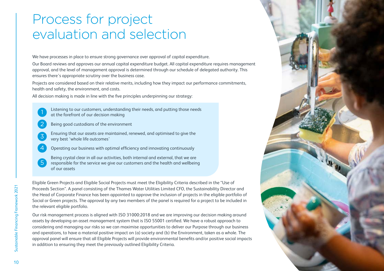# Process for project evaluation and selection

We have processes in place to ensure strong governance over approval of capital expenditure.

Our Board reviews and approves our annual capital expenditure budget. All capital expenditure requires management approval, and the level of management approval is determined through our schedule of delegated authority. This ensures there's appropriate scrutiny over the business case.

Projects are considered based on their relative merits, including how they impact our performance commitments, health and safety, the environment, and costs.

All decision making is made in line with the five principles underpinning our strategy:

- Listening to our customers, understanding their needs, and putting those needs at the forefront of our decision making
- Being good custodians of the environment
- Ensuring that our assets are maintained, renewed, and optimised to give the very best 'whole life outcomes'
- 4 Operating our business with optimal efficiency and innovating continuously
- 5 Being crystal clear in all our activities, both internal and external, that we are responsible for the service we give our customers and the health and wellbeing of our assets

Eligible Green Projects and Eligible Social Projects must meet the Eligibility Criteria described in the "Use of Proceeds Section". A panel consisting of the Thames Water Utilities Limited CFO, the Sustainability Director and the Head of Corporate Finance has been appointed to approve the inclusion of projects in the eligible portfolio of Social or Green projects. The approval by any two members of the panel is required for a project to be included in the relevant eligible portfolio.

Our risk management process is aligned with ISO 31000:2018 and we are improving our decision making around assets by developing an asset management system that is ISO 55001 certified. We have a robust approach to considering and managing our risks so we can maximise opportunities to deliver our Purpose through our business and operations, to have a material positive impact on (a) society and (b) the Environment, taken as a whole. The approval panel will ensure that all Eligible Projects will provide environmental benefits and/or positive social impacts in addition to ensuring they meet the previously outlined Eligibility Criteria.



1

2

3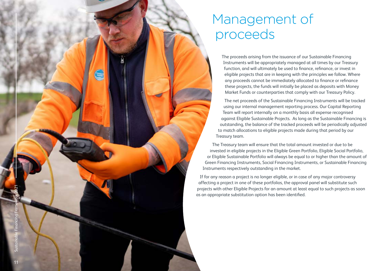# $\left(\frac{1}{\sqrt{2}}\right)$ Sustainable Financing Framework 2021 Sustainable Financing Fram 11

# Management of proceeds

The proceeds arising from the issuance of our Sustainable Financing Instruments will be appropriately managed at all times by our Treasury function, and will ultimately be used to finance, refinance, or invest in eligible projects that are in keeping with the principles we follow. Where any proceeds cannot be immediately allocated to finance or refinance these projects, the funds will initially be placed as deposits with Money Market Funds or counterparties that comply with our Treasury Policy.

The net proceeds of the Sustainable Financing Instruments will be tracked using our internal management reporting process. Our Capital Reporting Team will report internally on a monthly basis all expense recognised against Eligible Sustainable Projects. As long as the Sustainable Financing is outstanding, the balance of the tracked proceeds will be periodically adjusted to match allocations to eligible projects made during that period by our Treasury team.

The Treasury team will ensure that the total amount invested or due to be invested in eligible projects in the Eligible Green Portfolio, Eligible Social Portfolio, or Eligible Sustainable Portfolio will always be equal to or higher than the amount of Green Financing Instruments, Social Financing Instruments, or Sustainable Financing Instruments respectively outstanding in the market.

If for any reason a project is no longer eligible, or in case of any major controversy affecting a project in one of these portfolios, the approval panel will substitute such projects with other Eligible Projects for an amount at least equal to such projects as soon as an appropriate substitution option has been identified.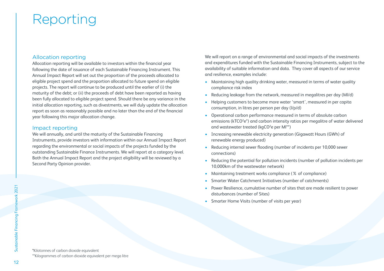# Reporting

### Allocation reporting

Allocation reporting will be available to investors within the financial year following the date of issuance of each Sustainable Financing Instrument. This Annual Impact Report will set out the proportion of the proceeds allocated to eligible project spend and the proportion allocated to future spend on eligible projects. The report will continue to be produced until the earlier of (i) the maturity of the debt; or (ii) the proceeds of debt have been reported as having been fully allocated to eligible project spend. Should there be any variance in the initial allocation reporting, such as divestments, we will duly update the allocation report as soon as reasonably possible and no later than the end of the financial year following this major allocation change.

### Impact reporting

We will annually, and until the maturity of the Sustainable Financing Instruments, provide investors with information within our Annual Impact Report regarding the environmental or social impacts of the projects funded by the outstanding Sustainable Finance Instruments. We will report at a category level. Both the Annual Impact Report and the project eligibility will be reviewed by a Second Party Opinion provider.

We will report on a range of environmental and social impacts of the investments and expenditures funded with the Sustainable Financing Instruments, subject to the availability of suitable information and data. They cover all aspects of our service and resilience, examples include:

- Maintaining high quality drinking water, measured in terms of water quality compliance risk index
- Reducing leakage from the network, measured in megalitres per day (Ml/d)
- Helping customers to become more water 'smart', measured in per capita consumption, in litres per person per day (l/p/d)
- Operational carbon performance measured in terms of absolute carbon emissions (kTCO<sup>2</sup>e<sup>\*</sup>) and carbon intensity ratios per megalitre of water delivered and wastewater treated (kgCO<sup>2</sup>e per MI\*\*)
- Increasing renewable electricity generation (Gigawatt Hours (GWh) of renewable energy produced)
- Reducing internal sewer flooding (number of incidents per 10,000 sewer connections)
- Reducing the potential for pollution incidents (number of pollution incidents per 10,000km of the wastewater network)
- Maintaining treatment works compliance (% of compliance)
- Smarter Water Catchment Initiatives (number of catchments)
- Power Resilience, cumulative number of sites that are made resilient to power disturbances (number of Sites)
- Smarter Home Visits (number of visits per year)

Sustainable Financing Framework 2021

\*Kilotonnes of carbon dioxide equivalent \*\*Kilogrammes of carbon dioxide equivalent per mega litre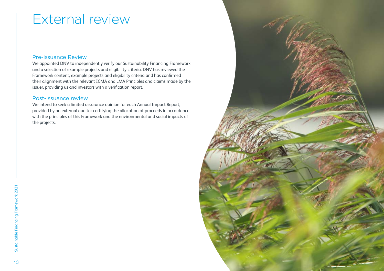# External review

### Pre-Issuance Review

We appointed DNV to independently verify our Sustainability Financing Framework and a selection of example projects and eligibility criteria. DNV has reviewed the Framework content, example projects and eligibility criteria and has confirmed their alignment with the relevant ICMA and LMA Principles and claims made by the issuer, providing us and investors with a verification report.

### Post-Issuance review

We intend to seek a limited assurance opinion for each Annual Impact Report, provided by an external auditor certifying the allocation of proceeds in accordance with the principles of this Framework and the environmental and social impacts of the projects.